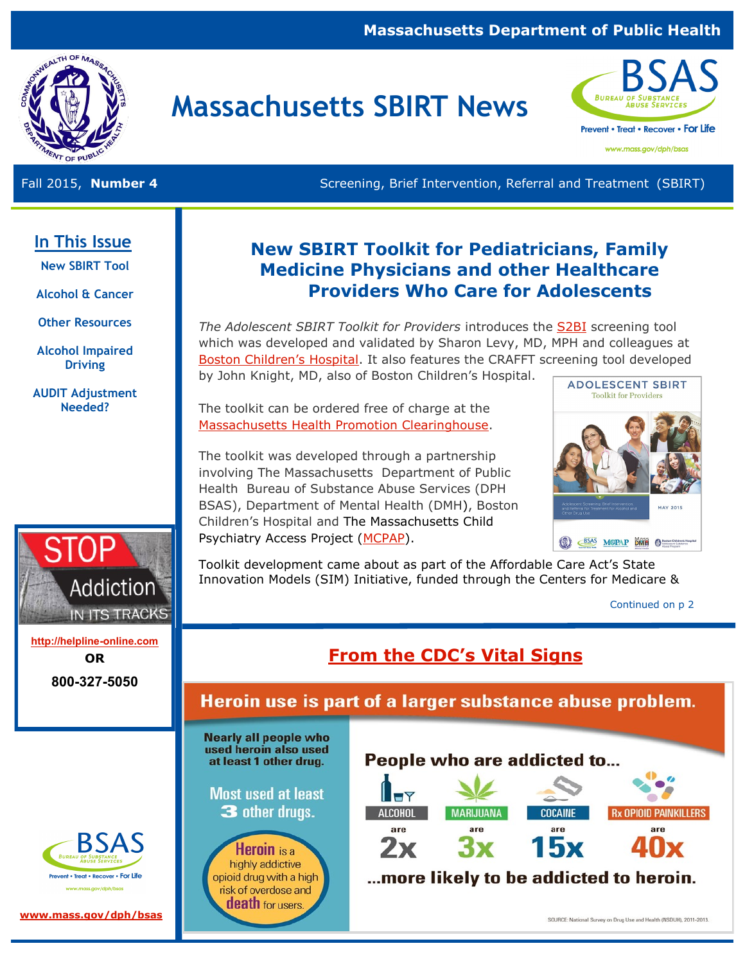## **Massachusetts Department of Public Health**



# **Massachusetts SBIRT News**



www.mass.gov/dph/bsas

Fall 2015, **Number 4** Screening, Brief Intervention, Referral and Treatment (SBIRT)

## **In This Issue**

**New SBIRT Tool** 

**Alcohol & Cancer** 

**Other Resources**

**Alcohol Impaired Driving** 

**AUDIT Adjustment Needed?** 



**<http://helpline-online.com> OR 800-327-5050** 

nt • Treat • Recover • For Life

## **New SBIRT Toolkit for Pediatricians, Family Medicine Physicians and other Healthcare Providers Who Care for Adolescents**

*The Adolescent SBIRT Toolkit for Providers* introduces the [S2BI](http://archpedi.jamanetwork.com/article.aspx?articleid=1889047) screening tool which was developed and validated by Sharon Levy, MD, MPH and colleagues at [Boston Children's Hospital](http://www.childrenshospital.org/). It also features the CRAFFT screening tool developed by John Knight, MD, also of Boston Children's Hospital.

The toolkit can be ordered free of charge at the [Massachusetts Health Promotion Clearinghouse.](http://massclearinghouse.ehs.state.ma.us/)

The toolkit was developed through a partnership involving The Massachusetts Department of Public Health Bureau of Substance Abuse Services (DPH BSAS), Department of Mental Health (DMH), Boston Children's Hospital and The Massachusetts Child Psychiatry Access Project [\(MCPAP\)](http://www.mcpap.com/).



Toolkit development came about as part of the Affordable Care Act's State Innovation Models (SIM) Initiative, funded through the Centers for Medicare &

Continued on p 2

## **[From the CDC's Vital Signs](http://www.cdc.gov/vitalsigns/heroin/index.html)**

Heroin use is part of a larger substance abuse problem.

**Nearly all people who** used heroin also used at least 1 other drug.

**Most used at least** 3 other drugs.

**Heroin** is a highly addictive opioid drug with a high risk of overdose and **death** for users.

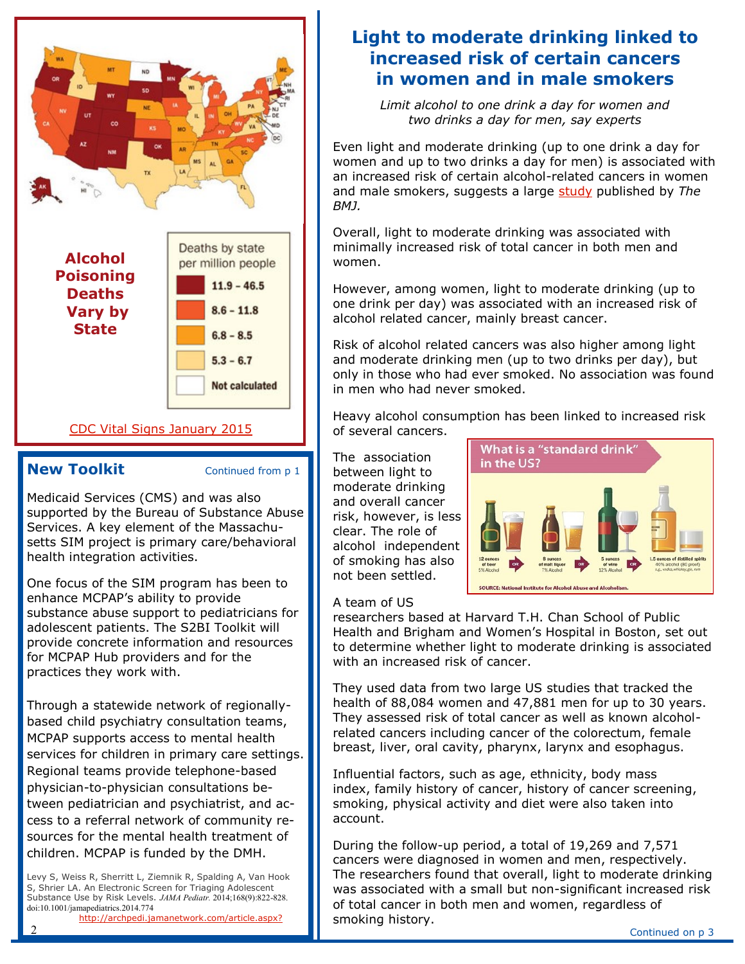

### [CDC Vital Signs January 2015](http://www.cdc.gov/vitalsigns/alcohol-poisoning-deaths/)

### **New Toolkit** Continued from p 1

Medicaid Services (CMS) and was also supported by the Bureau of Substance Abuse Services. A key element of the Massachusetts SIM project is primary care/behavioral health integration activities.

One focus of the SIM program has been to enhance MCPAP's ability to provide substance abuse support to pediatricians for adolescent patients. The S2BI Toolkit will provide concrete information and resources for MCPAP Hub providers and for the practices they work with.

Through a statewide network of regionallybased child psychiatry consultation teams, MCPAP supports access to mental health services for children in primary care settings. Regional teams provide telephone-based physician-to-physician consultations between pediatrician and psychiatrist, and access to a referral network of community resources for the mental health treatment of children. MCPAP is funded by the DMH.

Levy S, Weiss R, Sherritt L, Ziemnik R, Spalding A, Van Hook S, Shrier LA. An Electronic Screen for Triaging Adolescent Substance Use by Risk Levels. *JAMA Pediatr.* 2014;168(9):822-828. doi:10.1001/jamapediatrics.2014.774

[http://archpedi.jamanetwork.com/article.aspx?](http://archpedi.jamanetwork.com/article.aspx?articleid=1889047)

## **Light to moderate drinking linked to increased risk of certain cancers in women and in male smokers**

*Limit alcohol to one drink a day for women and two drinks a day for men, say experts* 

Even light and moderate drinking (up to one drink a day for women and up to two drinks a day for men) is associated with an increased risk of certain alcohol-related cancers in women and male smokers, suggests a large [study](http://www.bmj.com/content/351/bmj.h4238) published by *The BMJ.*

Overall, light to moderate drinking was associated with minimally increased risk of total cancer in both men and women.

However, among women, light to moderate drinking (up to one drink per day) was associated with an increased risk of alcohol related cancer, mainly breast cancer.

Risk of alcohol related cancers was also higher among light and moderate drinking men (up to two drinks per day), but only in those who had ever smoked. No association was found in men who had never smoked.

Heavy alcohol consumption has been linked to increased risk of several cancers.

The association between light to moderate drinking and overall cancer risk, however, is less clear. The role of alcohol independent of smoking has also not been settled.



### A team of US

researchers based at Harvard T.H. Chan School of Public Health and Brigham and Women's Hospital in Boston, set out to determine whether light to moderate drinking is associated with an increased risk of cancer.

They used data from two large US studies that tracked the health of 88,084 women and 47,881 men for up to 30 years. They assessed risk of total cancer as well as known alcoholrelated cancers including cancer of the colorectum, female breast, liver, oral cavity, pharynx, larynx and esophagus.

Influential factors, such as age, ethnicity, body mass index, family history of cancer, history of cancer screening, smoking, physical activity and diet were also taken into account.

During the follow-up period, a total of 19,269 and 7,571 cancers were diagnosed in women and men, respectively. The researchers found that overall, light to moderate drinking was associated with a small but non-significant increased risk of total cancer in both men and women, regardless of smoking history.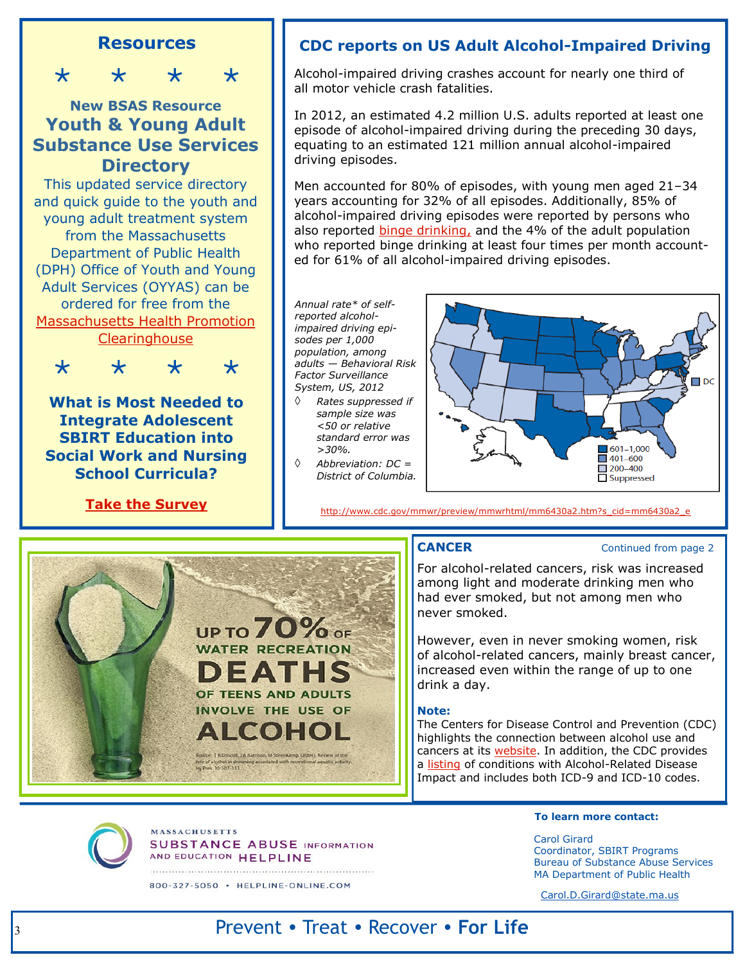## **Resources**

\* \* \* \*

## **New BSAS Resource Youth & Young Adult Substance Use Services Directory**

This updated service directory and quick guide to the youth and young adult treatment system from the Massachusetts Department of Public Health (DPH) Office of Youth and Young Adult Services (OYYAS) can be ordered for free from the [Massachusetts Health Promotion](mass.gov/maclearinghouse)  **[Clearinghouse](mass.gov/maclearinghouse)** 



**What is Most Needed to Integrate Adolescent SBIRT Education into Social Work and Nursing School Curricula?**

**[Take the Survey](http://fluidsurveys.com/s/adoles-needs-assess-NORC/)**



Alcohol-impaired driving crashes account for nearly one third of all motor vehicle crash fatalities.

In 2012, an estimated 4.2 million U.S. adults reported at least one episode of alcohol-impaired driving during the preceding 30 days, equating to an estimated 121 million annual alcohol-impaired driving episodes.

Men accounted for 80% of episodes, with young men aged 21–34 years accounting for 32% of all episodes. Additionally, 85% of alcohol-impaired driving episodes were reported by persons who also reported [binge drinking,](http://www.cdc.gov/alcohol/fact-sheets/binge-drinking.htm) and the 4% of the adult population who reported binge drinking at least four times per month accounted for 61% of all alcohol-impaired driving episodes.

*Annual rate\* of selfreported alcoholimpaired driving episodes per 1,000 population, among adults — Behavioral Risk Factor Surveillance System, US, 2012* 

- *Rates suppressed if sample size was <50 or relative standard error was >30%.*
- *Abbreviation: DC = District of Columbia.*



[http://www.cdc.gov/mmwr/preview/mmwrhtml/mm6430a2.htm?s\\_cid=mm6430a2\\_e](http://www.cdc.gov/mmwr/preview/mmwrhtml/mm6430a2.htm?s_cid=mm6430a2_e)



**MASSACHUSETTS** 

**SUBSTANCE ABUSE INFORMATION** 

AND EDUCATION HELPLINE 800-327-5050 · HELPLINE-ONLINE.COM

### **CANCER** Continued from page 2

For alcohol-related cancers, risk was increased among light and moderate drinking men who had ever smoked, but not among men who never smoked.

However, even in never smoking women, risk of alcohol-related cancers, mainly breast cancer, increased even within the range of up to one drink a day.

### **Note:**

The Centers for Disease Control and Prevention (CDC) highlights the connection between alcohol use and cancers at its [website.](http://www.cdc.gov/cancer/dcpc/prevention/policies_practices/alcohol/index.htm) In addition, the CDC provides a [listing](http://nccd.cdc.gov/DPH_ARDI/Info/ICDCodes.aspx) of conditions with Alcohol-Related Disease Impact and includes both ICD-9 and ICD-10 codes.

### **To learn more contact:**

Carol Girard Coordinator, SBIRT Programs Bureau of Substance Abuse Services MA Department of Public Health

[Carol.D.Girard@state.ma.us](mailto:Carol.D.Girard@state.ma.us) 

## Prevent • Treat • Recover • **For Life**